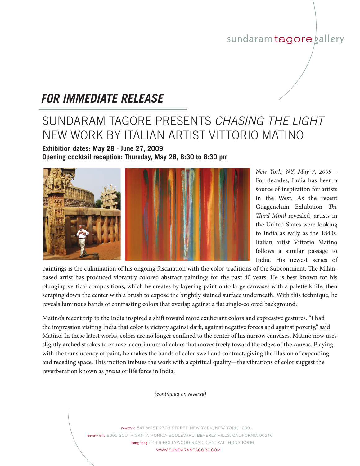## sundaram tagore gallery

## *FOR IMMEDIATE RELEASE*

## SUNDARAM TAGORE PRESENTS *chasing the light* new work by italian artist vittorio matino

**Exhibition dates: May 28 - June 27, 2009 Opening cocktail reception: Thursday, May 28, 6:30 to 8:30 pm**



*New York, NY, May 7, 2009*— For decades, India has been a source of inspiration for artists in the West. As the recent Guggenehim Exhibition *The Third Mind* revealed, artists in the United States were looking to India as early as the 1840s. Italian artist Vittorio Matino follows a similar passage to India. His newest series of

paintings is the culmination of his ongoing fascination with the color traditions of the Subcontinent. The Milanbased artist has produced vibrantly colored abstract paintings for the past 40 years. He is best known for his plunging vertical compositions, which he creates by layering paint onto large canvases with a palette knife, then scraping down the center with a brush to expose the brightly stained surface underneath. With this technique, he reveals luminous bands of contrasting colors that overlap against a flat single-colored background.

Matino's recent trip to the India inspired a shift toward more exuberant colors and expressive gestures. "I had the impression visiting India that color is victory against dark, against negative forces and against poverty," said Matino. In these latest works, colors are no longer confined to the center of his narrow canvases. Matino now uses slightly arched strokes to expose a continuum of colors that moves freely toward the edges of the canvas. Playing with the translucency of paint, he makes the bands of color swell and contract, giving the illusion of expanding and receding space. This motion imbues the work with a spiritual quality—the vibrations of color suggest the reverberation known as *prana* or life force in India.

*(continued on reverse)*

new york 547 WEST 27TH STREET, NEW YORK, NEW YORK 10001 beverly hills 9606 SOUTH SANTA MONICA BOULEVARD, BEVERLY HILLS, CALIFORNIA 90210 hong kong 57-59 HOLLYWOOD ROAD, CENTRAL, HONG KONG WWW.SUNDARAMTAGORE.COM